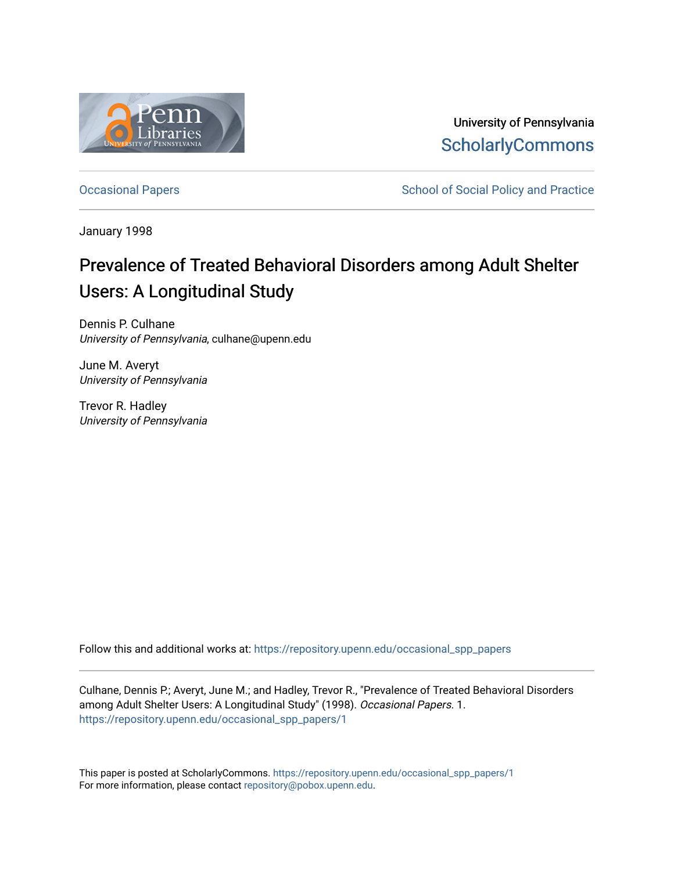

University of Pennsylvania **ScholarlyCommons** 

[Occasional Papers](https://repository.upenn.edu/occasional_spp_papers) **School of Social Policy and Practice** School of Social Policy and Practice

January 1998

# Prevalence of Treated Behavioral Disorders among Adult Shelter Users: A Longitudinal Study

Dennis P. Culhane University of Pennsylvania, culhane@upenn.edu

June M. Averyt University of Pennsylvania

Trevor R. Hadley University of Pennsylvania

Follow this and additional works at: [https://repository.upenn.edu/occasional\\_spp\\_papers](https://repository.upenn.edu/occasional_spp_papers?utm_source=repository.upenn.edu%2Foccasional_spp_papers%2F1&utm_medium=PDF&utm_campaign=PDFCoverPages) 

Culhane, Dennis P.; Averyt, June M.; and Hadley, Trevor R., "Prevalence of Treated Behavioral Disorders among Adult Shelter Users: A Longitudinal Study" (1998). Occasional Papers. 1. [https://repository.upenn.edu/occasional\\_spp\\_papers/1](https://repository.upenn.edu/occasional_spp_papers/1?utm_source=repository.upenn.edu%2Foccasional_spp_papers%2F1&utm_medium=PDF&utm_campaign=PDFCoverPages) 

This paper is posted at ScholarlyCommons. [https://repository.upenn.edu/occasional\\_spp\\_papers/1](https://repository.upenn.edu/occasional_spp_papers/1) For more information, please contact [repository@pobox.upenn.edu.](mailto:repository@pobox.upenn.edu)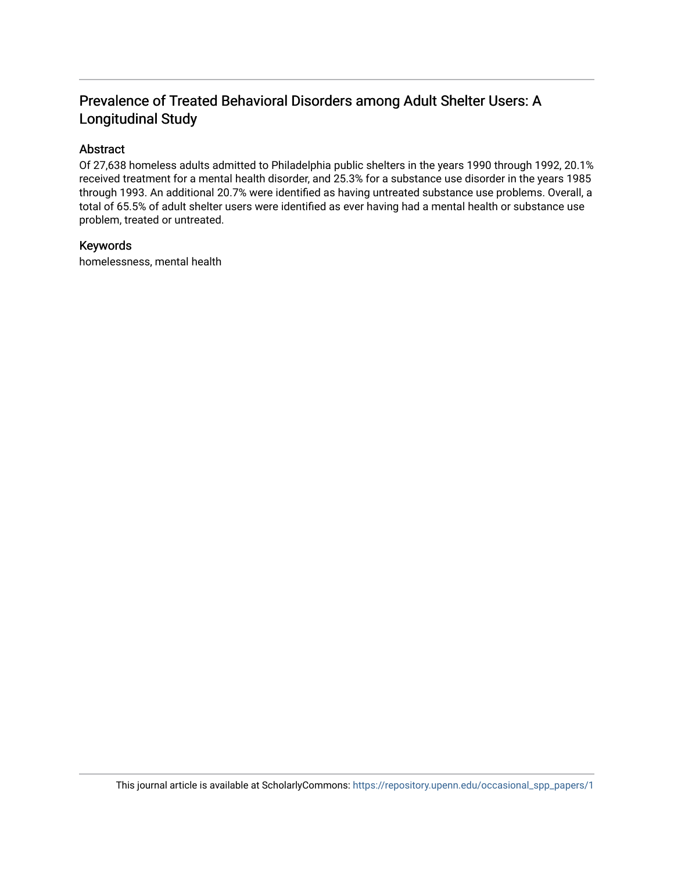## Prevalence of Treated Behavioral Disorders among Adult Shelter Users: A Longitudinal Study

### Abstract

Of 27,638 homeless adults admitted to Philadelphia public shelters in the years 1990 through 1992, 20.1% received treatment for a mental health disorder, and 25.3% for a substance use disorder in the years 1985 through 1993. An additional 20.7% were identified as having untreated substance use problems. Overall, a total of 65.5% of adult shelter users were identified as ever having had a mental health or substance use problem, treated or untreated.

### Keywords

homelessness, mental health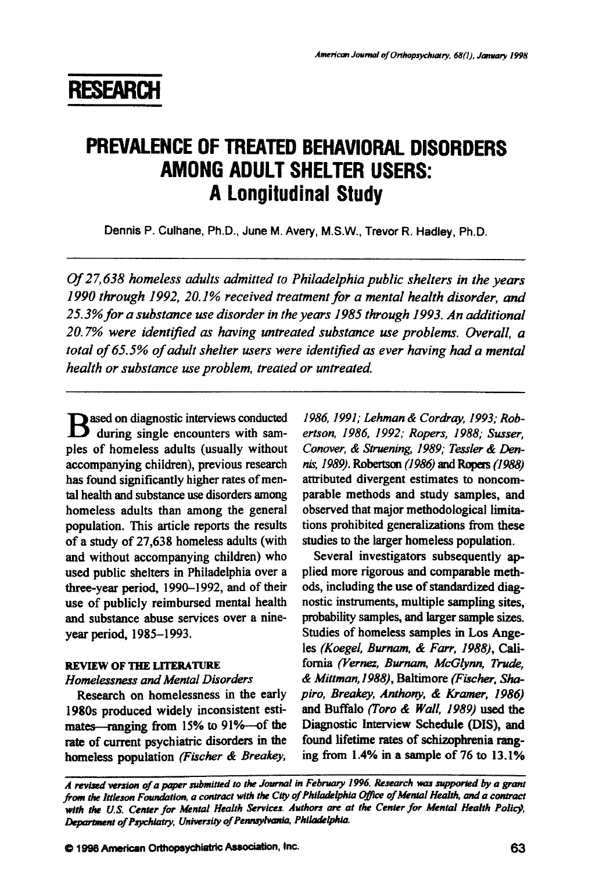# **RESEARCH**

## **PREVALENCE OF TREATED BEHAVIORAL DISORDERS AMONG ADULT SHELTER USERS: A Longitudinal Study**

Dennis P. Culhane, Ph.D., June M. Avery, M.S.W., Trevor R. Hadley, Ph.D.

*Of 27,638 homeless adults admitted to Philadelphia public shelters in the years 1990 through 1992, 20.1% received treatment for a mental health disorder, and 25.3% for a substance use disorder in the years 1985 through 1993. An additional 20.7% were identified as having untreated substance use problems. Overall, a total of 65.5% of adult shelter users were identified as ever having had a mental health or substance use problem, treated or untreated.*

**B** ased on diagnostic interviews conducted<br>during single encounters with samduring single encounters with samples of homeless adults (usually without accompanying children), previous research has found significantly higher rates of mental health and substance use disorders among homeless adults than among the general population. This article reports the results of a study of 27,638 homeless adults (with and without accompanying children) who used public shelters in Philadelphia over a three-year period, 1990-1992, and of their use of publicly reimbursed mental health and substance abuse services over a nineyear period, 1985-1993.

#### **REVIEW OF THE LITERATURE**

#### *Homelessness and Merited Disorders*

Research on homelessness in the early 1980s produced widely inconsistent estimates—ranging from 15% to 91%—of the rate of current psychiatric disorders in the homeless population *(Fischer & Breakey,*

*1986,1991; Lehman & Cordray, 1993; Robertson, 1986, 1992; Ropers, 1988; Susser, Conover, & Struening, 1989; Tessler & Dennis, 1989).* Robertson *(1986)* and Ropers *(1988)* attributed divergent estimates to noncomparable methods and study samples, and observed that major methodological limitations prohibited generalizations from these studies to the larger homeless population.

Several investigators subsequently applied more rigorous and comparable methods, including the use of standardized diagnostic instruments, multiple sampling sites, probability samples, and larger sample sizes. Studies of homeless samples in Los Angeles (Koegel, Burnam, & Farr, 1988), California *(Vernez, Burnam, McGlynn, Trude, & Mittman.1988),* Baltimore *(Fischer, Shapiro, Breakey, Anthony, & Kramer, 1986)* and Buffalo *(Toro & Wall, 1989)* used the Diagnostic Interview Schedule (DIS), and found lifetime rates of schizophrenia ranging from 1.4% in a sample of 76 to 13.1%

*A revised version of a paper submitted to the Journal in February 1996. Research was supported by a grant from the Ittleson Foundation, a contract with the City of Philadelphia Office of Mental Health, and a contract with the U.S. Center for Mental Health Services. Authors are at the Center for Mental Health Policy, Department of Psychiatry, University of Pennsylvania, Philadelphia.*

**© 1998 American Orthopsychiatric Association, Inc.** 63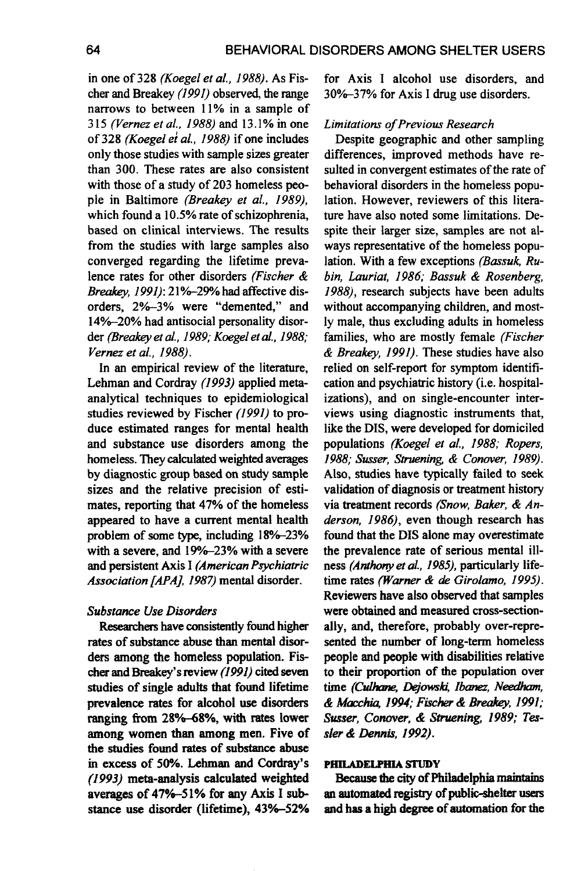in one of 328 *(Koegel et al, 1988).* As Fischer and Breakey *(1991)* observed, the range narrows to between 11% in a sample of 315 *(Vernez et ai, 1988)* and 13.1% in one of 328 *(Koegel ei al, 1988)* if one includes only those studies with sample sizes greater than 300. These rates are also consistent with those of a study of 203 homeless people in Baltimore *(Breakey et al, 1989),* which found a 10.5% rate of schizophrenia, based on clinical interviews. The results from the studies with large samples also converged regarding the lifetime prevalence rates for other disorders *(Fischer & Breakey, 1991):* 21%-29% had affective disorders, 2%-3% were "demented," and 14%-20% had antisocial personality disorder *(Breakey et al., 1989; Koegel etal., 1988; Vernez et al, 1988).*

In an empirical review of the literature, Lehman and Cordray *(1993)* applied metaanalytical techniques to epidemiological studies reviewed by Fischer *(1991)* to produce estimated ranges for mental health and substance use disorders among the homeless. They calculated weighted averages by diagnostic group based on study sample sizes and the relative precision of estimates, reporting that 47% of the homeless appeared to have a current mental health problem of some type, including 18%-23% with a severe, and 19%-23% with a severe and persistent Axis I *(American Psychiatric Association [APA], 1987)* mental disorder.

#### *Substance Use Disorders*

Researchers have consistently found higher rates of substance abuse than mental disorders among the homeless population. Fischer and Breakey's review *(1991)* cited seven studies of single adults that found lifetime prevalence rates for alcohol use disorders ranging from 28%-68%, with rates lower among women than among men. Five of the studies found rates of substance abuse in excess of 50%. Lehman and Cordray's *(1993)* meta-analysis calculated weighted averages of 47%-51% for any Axis I substance use disorder (lifetime), 43%-52%

for Axis I alcohol use disorders, and 30%-37% for Axis I drug use disorders.

#### *Limitations of Previous Research*

Despite geographic and other sampling differences, improved methods have resulted in convergent estimates of the rate of behavioral disorders in the homeless population. However, reviewers of this literature have also noted some limitations. Despite their larger size, samples are not always representative of the homeless population. With a few exceptions *(Bassuk, Rubin, Lauriat, 1986; Bassuk & Rosenberg, 1988),* research subjects have been adults without accompanying children, and mostly male, thus excluding adults in homeless families, who are mostly female *(Fischer & Breakey, 1991).* These studies have also relied on self-report for symptom identification and psychiatric history (i.e. hospitalizations), and on single-encounter interviews using diagnostic instruments that, like the DIS, were developed for domiciled populations *(Koegel et al, 1988; Ropers, 1988; Susser, Struening, & Conover, 1989).* Also, studies have typically failed to seek validation of diagnosis or treatment history via treatment records *(Snow, Baker, & Anderson, 1986),* even though research has found that the DIS alone may overestimate the prevalence rate of serious mental illness *(Anthony et al., 1985),* particularly lifetime rates *(Warner & de Girolamo, 1995).* Reviewers have also observed that samples were obtained and measured cross-sectionally, and, therefore, probably over-represented the number of long-term homeless people and people with disabilities relative to their proportion of the population over time *(Culhane, Dejowski, Ibanez, Needham, & Macchia, 1994; Fischer & Breakey, 1991; Susser, Conover, & Struening, 1989; Tessler& Dennis, 1992).*

#### PHILADELPHIA STUDY

Because the city of Philadelphia maintains an automated registry of public-shelter users and has a high degree of automation for the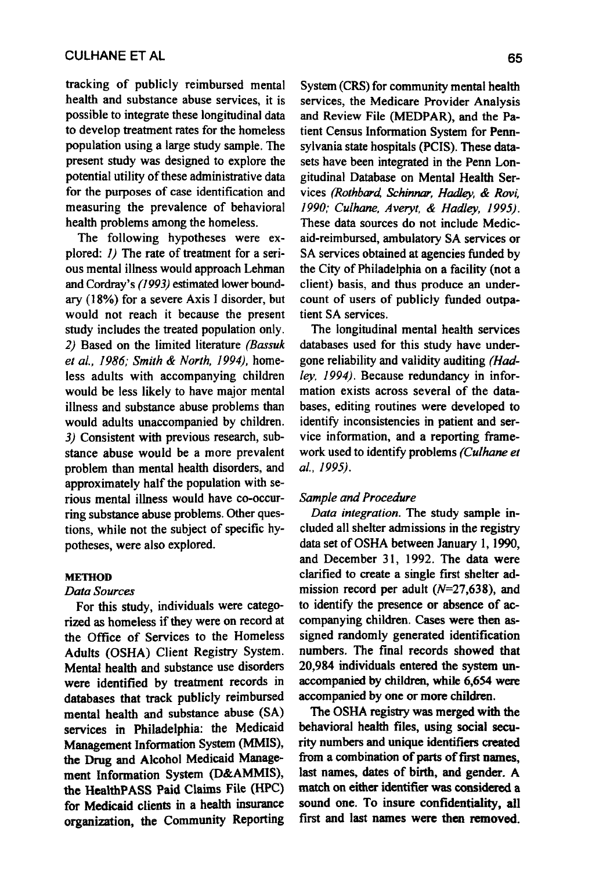tracking of publicly reimbursed mental health and substance abuse services, it is possible to integrate these longitudinal data to develop treatment rates for the homeless population using a large study sample. The present study was designed to explore the potential utility of these administrative data for the purposes of case identification and measuring the prevalence of behavioral health problems among the homeless.

The following hypotheses were explored: *1)* The rate of treatment for a serious mental illness would approach Lehman and Cordray's *(1993)* estimated lower boundary (18%) for a severe Axis I disorder, but would not reach it because the present study includes the treated population only. *2)* Based on the limited literature *(Bassuk et al, 1986; Smith & North, 1994),* homeless adults with accompanying children would be less likely to have major mental illness and substance abuse problems than would adults unaccompanied by children. *3)* Consistent with previous research, substance abuse would be a more prevalent problem than mental health disorders, and approximately half the population with serious mental illness would have co-occurring substance abuse problems. Other questions, while not the subject of specific hypotheses, were also explored.

#### **METHOD**

#### *Data Sources*

For this study, individuals were categorized as homeless if they were on record at the Office of Services to the Homeless Adults (OSHA) Client Registry System. Mental health and substance use disorders were identified by treatment records in databases that track publicly reimbursed mental health and substance abuse (SA) services in Philadelphia: the Medicaid Management Information System (MM1S), the Drug and Alcohol Medicaid Management Information System (D&AMMIS), the HealthPASS Paid Claims File (HPC) for Medicaid clients in a health insurance organization, the Community Reporting

System (CRS) for community mental health services, the Medicare Provider Analysis and Review File (MEDPAR), and the Patient Census Information System for Pennsylvania state hospitals (PCIS). These datasets have been integrated in the Penn Longitudinal Database on Mental Health Services *(Rothbard, Schinnar, Hadley, & Rovi, 1990; Culhane, Averyt, & Hadley, 1995).* These data sources do not include Medicaid-reimbursed, ambulatory SA services or SA services obtained at agencies funded by the City of Philadelphia on a facility (not a client) basis, and thus produce an undercount of users of publicly funded outpatient SA services.

The longitudinal mental health services databases used for this study have undergone reliability and validity auditing *(Hadley, 1994).* Because redundancy in information exists across several of the databases, editing routines were developed to identify inconsistencies in patient and service information, and a reporting framework used to identify problems *(Culhane et al, 1995).*

#### *Sample and Procedure*

*Data integration.* The study sample included all shelter admissions in the registry data set of OSHA between January 1,1990, and December 31, 1992. The data were clarified to create a single first shelter admission record per adult  $(N=27,638)$ , and to identify the presence or absence of accompanying children. Cases were then assigned randomly generated identification numbers. The final records showed that 20,984 individuals entered the system unaccompanied by children, while 6,654 were accompanied by one or more children.

The OSHA registry was merged with the behavioral health files, using social security numbers and unique identifiers created from a combination of parts of first names, last names, dates of birth, and gender. A match on either identifier was considered a sound one. To insure confidentiality, all first and last names were then removed.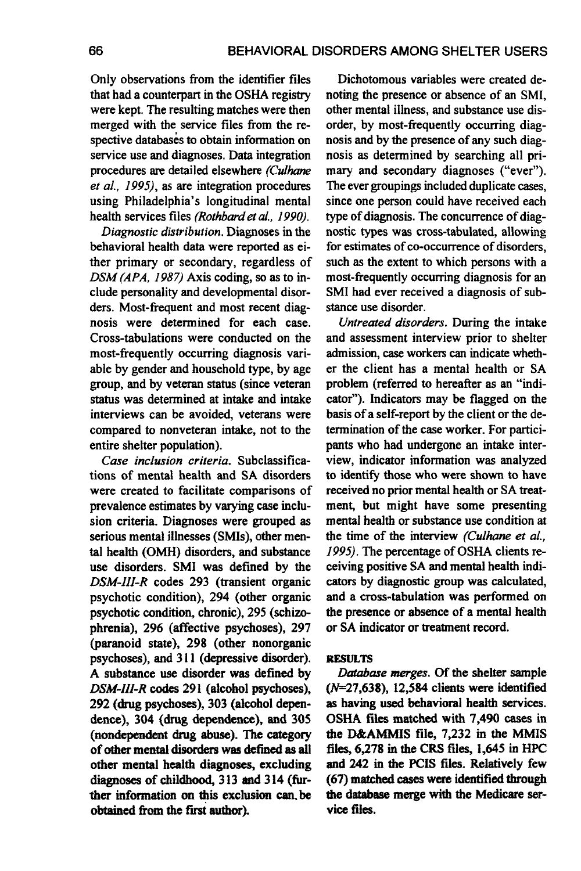Only observations from the identifier files that had a counterpart in the OSHA registry were kept. The resulting matches were then merged with the service files from the respective databases to obtain information on service use and diagnoses. Data integration procedures are detailed elsewhere *(Culhane et ai, 1995),* as are integration procedures using Philadelphia's longitudinal mental health services files (Rothbard et al., 1990).

*Diagnostic distribution.* Diagnoses in the behavioral health data were reported as either primary or secondary, regardless of *DSM(APA, 1987)* Axis coding, so as to include personality and developmental disorders. Most-frequent and most recent diagnosis were determined for each case. Cross-tabulations were conducted on the most-frequently occurring diagnosis variable by gender and household type, by age group, and by veteran status (since veteran status was determined at intake and intake interviews can be avoided, veterans were compared to nonveteran intake, not to the entire shelter population).

*Case inclusion criteria.* Subclassifications of mental health and SA disorders were created to facilitate comparisons of prevalence estimates by varying case inclusion criteria. Diagnoses were grouped as serious mental illnesses (SMIs), other mental health (OMH) disorders, and substance use disorders. SMI was defined by the *DSM-1H-R* codes 293 (transient organic psychotic condition), 294 (other organic psychotic condition, chronic), 295 (schizophrenia), 296 (affective psychoses), 297 (paranoid state), 298 (other nonorganic psychoses), and 311 (depressive disorder). A substance use disorder was defined by *DSM-III-R* codes 291 (alcohol psychoses), 292 (drug psychoses), 303 (alcohol dependence), 304 (drug dependence), and 305 (nondependent drug abuse). The category of other mental disorders was defined as all other mental health diagnoses, excluding diagnoses of childhood, 313 and 314 (further information on this exclusion can.be obtained from the first author).

Dichotomous variables were created denoting the presence or absence of an SMI, other mental illness, and substance use disorder, by most-frequently occurring diagnosis and by the presence of any such diagnosis as determined by searching all primary and secondary diagnoses ("ever"). The ever groupings included duplicate cases, since one person could have received each type of diagnosis. The concurrence of diagnostic types was cross-tabulated, allowing for estimates of co-occurrence of disorders, such as the extent to which persons with a most-frequently occurring diagnosis for an SMI had ever received a diagnosis of substance use disorder.

*Untreated disorders.* During the intake and assessment interview prior to shelter admission, case workers can indicate whether the client has a mental health or SA problem (referred to hereafter as an "indicator"). Indicators may be flagged on the basis of a self-report by the client or the determination of the case worker. For participants who had undergone an intake interview, indicator information was analyzed to identify those who were shown to have received no prior mental health or SA treatment, but might have some presenting mental health or substance use condition at the time of the interview *(Culhane et ai, 1995).* The percentage of OSHA clients receiving positive SA and mental health indicators by diagnostic group was calculated, and a cross-tabulation was performed on the presence or absence of a mental health or SA indicator or treatment record.

#### RESULTS

*Database merges.* Of the shelter sample  $(N=27,638)$ , 12,584 clients were identified as having used behavioral health services. OSHA files matched with 7,490 cases in the D&AMMIS file, 7,232 in the MMIS files, 6,278 in the CRS files, 1,645 in HPC and 242 in the PCIS files. Relatively few (67) matched cases were identified through the database merge with the Medicare service files.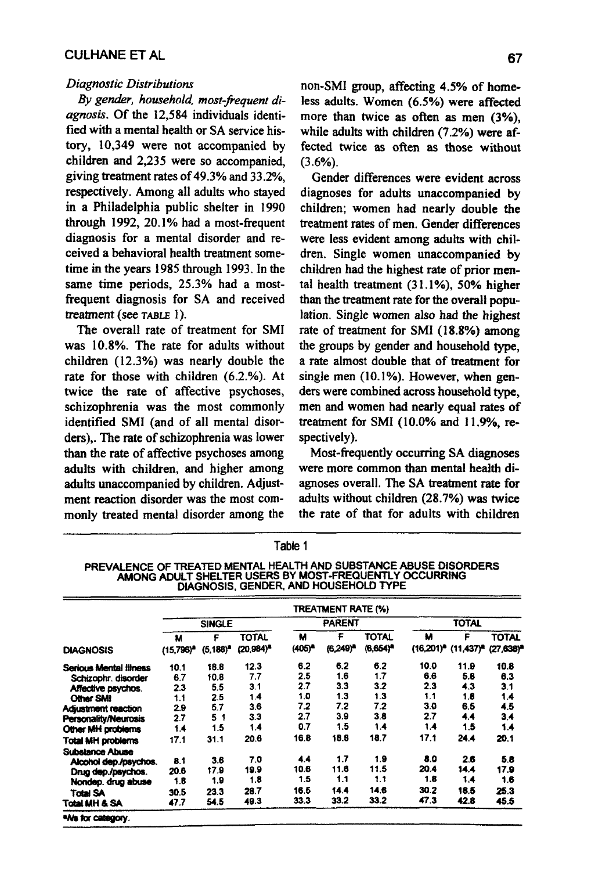#### *Diagnostic Distributions*

*By gender, household, most-frequent diagnosis.* Of the 12,584 individuals identified with a mental health or SA service history, 10,349 were not accompanied by children and 2,235 were so accompanied, giving treatment rates of 49.3% and 33.2%, respectively. Among all adults who stayed in a Philadelphia public shelter in 1990 through 1992, 20.1% had a most-frequent diagnosis for a mental disorder and received a behavioral health treatment sometime in the years 1985 through 1993. In the same time periods, 25.3% had a mostfrequent diagnosis for SA and received treatment (see TABLE 1).

The overall rate of treatment for SMI was 10.8%. The rate for adults without children (12.3%) was nearly double the rate for those with children (6.2.%). At twice the rate of affective psychoses, schizophrenia was the most commonly identified SMI (and of all mental disorders),. The rate of schizophrenia was lower than the rate of affective psychoses among adults with children, and higher among adults unaccompanied by children. Adjustment reaction disorder was the most commonly treated mental disorder among the

non-SMI group, affecting 4.5% of homeless adults. Women (6.5%) were affected more than twice as often as men (3%), while adults with children (7.2%) were affected twice as often as those without (3.6%).

Gender differences were evident across diagnoses for adults unaccompanied by children; women had nearly double the treatment rates of men. Gender differences were less evident among adults with children. Single women unaccompanied by children had the highest rate of prior mental health treatment (31.1%), 50% higher than the treatment rate for the overall population. Single women also had the highest rate of treatment for SMI (18.8%) among the groups by gender and household type, a rate almost double that of treatment for single men (10.1%). However, when genders were combined across household type, men and women had nearly equal rates of treatment for SMI (10.0% and 11.9%, respectively).

Most-frequently occurring SA diagnoses were more common than mental health diagnoses overall. The SA treatment rate for adults without children (28.7%) was twice the rate of that for adults with children

|                                                                                                                                                      |                                         |                                       |                                         |                                         | <b>TREATMENT RATE (%)</b>               |                                         |                                         |                                         |                                                          |                        |      |      |      |      |      |      |      |      |      |
|------------------------------------------------------------------------------------------------------------------------------------------------------|-----------------------------------------|---------------------------------------|-----------------------------------------|-----------------------------------------|-----------------------------------------|-----------------------------------------|-----------------------------------------|-----------------------------------------|----------------------------------------------------------|------------------------|------|------|------|------|------|------|------|------|------|
|                                                                                                                                                      |                                         | <b>SINGLE</b>                         |                                         |                                         | <b>PARENT</b>                           |                                         |                                         | <b>TOTAL</b>                            |                                                          |                        |      |      |      |      |      |      |      |      |      |
|                                                                                                                                                      | M                                       | F                                     | TOTAL                                   | м                                       | F                                       | <b>TOTAL</b>                            | M                                       | F                                       | <b>TOTAL</b>                                             |                        |      |      |      |      |      |      |      |      |      |
| <b>DIAGNOSIS</b>                                                                                                                                     | $(15.796)^{2}$                          | $(5, 188)^n$                          | $(20.984)^{2}$                          | $(405)^{2}$                             | $(6.249)^n$                             | $(6,654)^n$                             |                                         | $(16,201)^n$ $(11,437)^n$               | $(27, 638)^n$<br>10.8<br>6.3<br>3.1<br>1.4<br>4.5<br>3.4 |                        |      |      |      |      |      |      |      |      |      |
| <b>Serious Mental Illness</b>                                                                                                                        | 10.1                                    | 18.8                                  | 12.3                                    | 6.2                                     | 6.2                                     | 6.2                                     | 10.0                                    | 11.9                                    |                                                          |                        |      |      |      |      |      |      |      |      |      |
| Schizophr. disorder                                                                                                                                  | 6.7                                     | 10.8                                  | 7.7                                     | 2.5                                     | 1.6                                     | 1.7                                     | 6.6                                     | 5.8                                     |                                                          |                        |      |      |      |      |      |      |      |      |      |
| Affective psychos.<br><b>Other SMI</b><br><b>Adjustment reaction</b><br><b>Personality/Neurosis</b><br>Other MH problems<br><b>Total MH problems</b> | 2.3<br>1.1<br>2.9<br>2.7<br>1.4<br>17.1 | 5.5<br>25<br>5.7<br>51<br>1.5<br>31.1 | 3.1<br>1.4<br>3.6<br>3.3<br>1.4<br>20.6 | 2.7<br>1.0<br>7.2<br>2.7<br>0.7<br>16.8 | 3.3<br>1.3<br>7.2<br>3.9<br>1.5<br>18.8 | 3.2<br>1.3<br>7.2<br>3.8<br>1.4<br>18.7 | 2.3<br>1.1<br>3.0<br>2.7<br>1.4<br>17.1 | 4.3<br>1.8<br>6.5<br>4.4<br>1.5<br>24.4 | 14<br>20.1                                               |                        |      |      |      |      |      |      |      |      |      |
|                                                                                                                                                      |                                         |                                       |                                         |                                         |                                         |                                         |                                         |                                         |                                                          | <b>Substance Abuse</b> |      |      |      |      |      |      |      |      |      |
|                                                                                                                                                      |                                         |                                       |                                         |                                         |                                         |                                         |                                         |                                         |                                                          | Alcohol dep./psychos.  | 8.1  | 3.6  | 7.0  | 4.4  | 1.7  | 1.9  | 8.0  | 2.6  | 5.8  |
|                                                                                                                                                      |                                         |                                       |                                         |                                         |                                         |                                         |                                         |                                         |                                                          | Drug dep./psychos.     | 20.6 | 17.9 | 19.9 | 10.6 | 11.6 | 11.5 | 20.4 | 14.4 | 17.9 |
|                                                                                                                                                      |                                         |                                       |                                         |                                         |                                         |                                         |                                         |                                         |                                                          | Nondep. drug abuse     | 1.8  | 1.9  | 1.8  | 1.5  | 11   | 1.1  | 1.8  | 1.4  | 1.6  |
|                                                                                                                                                      |                                         |                                       |                                         |                                         |                                         |                                         |                                         |                                         |                                                          | <b>Total SA</b>        | 30.5 | 23.3 | 28.7 | 16.5 | 14.4 | 14.6 | 30.2 | 18.5 | 25.3 |
| Total MH & SA                                                                                                                                        | 47.7                                    | 54.5                                  | 49.3                                    | 33.3                                    | 33.2                                    | 33.2                                    | 47.3                                    | 42.8                                    | 45.5                                                     |                        |      |      |      |      |      |      |      |      |      |

**PREVALENCE OF TREATED MENTAL HEALTH AND SUBSTANCE ABUSE DISORDERS AMONG ADULT SHELTER USERS BY MOST-FREQUENTLY OCCURRING DIAGNOSIS, GENDER, AND HOUSEHOLD TYPE**

**Table 1**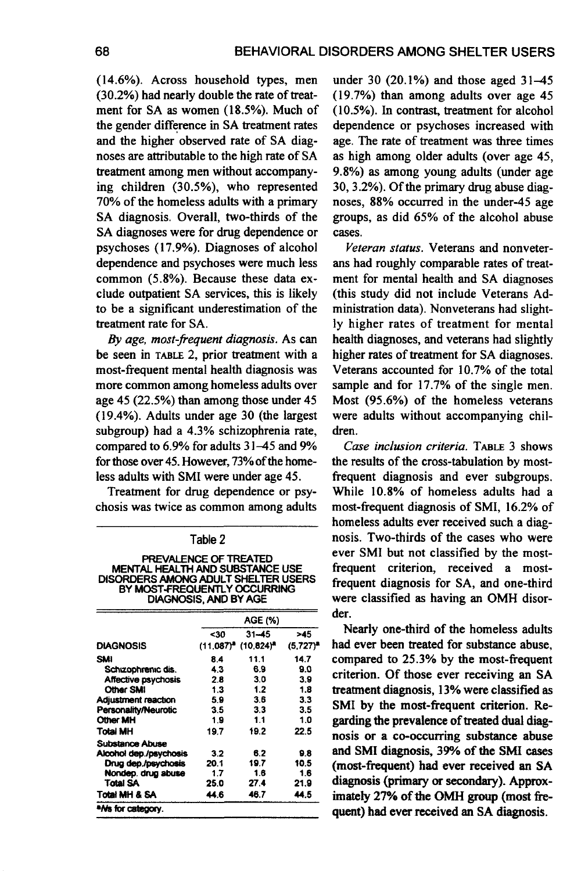(14.6%). Across household types, men (30.2%) had nearly double the rate of treatment for SA as women (18.5%). Much of the gender difference in SA treatment rates and the higher observed rate of SA diagnoses are attributable to the high rate of SA treatment among men without accompanying children (30.5%), who represented 70% of the homeless adults with a primary SA diagnosis. Overall, two-thirds of the SA diagnoses were for drug dependence or psychoses (17.9%). Diagnoses of alcohol dependence and psychoses were much less common (5.8%). Because these data exclude outpatient SA services, this is likely to be a significant underestimation of the treatment rate for SA.

*By age, most-frequent diagnosis.* As can be seen in TABLE 2, prior treatment with a most-frequent mental health diagnosis was more common among homeless adults over age 45 (22.5%) than among those under 45 (19.4%). Adults under age 30 (the largest subgroup) had a 4.3% schizophrenia rate, compared to  $6.9\%$  for adults  $31 - 45$  and 9% for those over 45. However, 73% of the homeless adults with SMI were under age 45.

Treatment for drug dependence or psychosis was twice as common among adults

Table 2

PREVALENCE OF TREATED **MENTAL HEALTH AND SUBSTANCE USE DISORDERS AMONG ADULT SHELTER USERS BY MOST-FREQUENTLY OCCURRING DIAGNOSIS, AND BY AGE**

|                             | AGE (%) |                                    |             |  |  |
|-----------------------------|---------|------------------------------------|-------------|--|--|
|                             | <30     | $31 - 45$                          | >45         |  |  |
| <b>DIAGNOSIS</b>            |         | $(11.087)^n$ (10.824) <sup>a</sup> | $(5,727)^*$ |  |  |
| <b>SMI</b>                  | 8.4     | 11.1                               | 14.7        |  |  |
| Schizophrenic dis.          | 4.3     | 69                                 | 90          |  |  |
| Affective psychosis         | 2.8     | 3.0                                | 3.9         |  |  |
| <b>Other SMI</b>            | 1.3     | 1.2                                | 1.8         |  |  |
| Adjustment reaction         | 5.9     | 36                                 | 33          |  |  |
| <b>Personality/Neurotic</b> | 3.5     | 3.3                                | 3.5         |  |  |
| Other MH                    | 1.9     | 1.1                                | 1.0         |  |  |
| Total MH                    | 19.7    | 19.2                               | 22.5        |  |  |
| Substance Abuse             |         |                                    |             |  |  |
| Alcohol dep./psychosis      | 3.2     | 6.2                                | 98          |  |  |
| Drug dep./psychosis         | 20.1    | 19.7                               | 10.5        |  |  |
| Nondep. drug abuse          | 1.7     | 1.6                                | 1.6         |  |  |
| Total SA                    | 25.0    | 27.4                               | 21.9        |  |  |
| Total MH & SA               | 44.6    | 46.7                               | 44.5        |  |  |
| "Ms for category.           |         |                                    |             |  |  |

under 30 (20.1%) and those aged 31—45 (19.7%) than among adults over age 45 (10.5%). In contrast, treatment for alcohol dependence or psychoses increased with age. The rate of treatment was three times as high among older adults (over age 45, 9.8%) as among young adults (under age 30,3.2%). Of the primary drug abuse diagnoses, 88% occurred in the under-45 age groups, as did 65% of the alcohol abuse cases.

*Veteran status.* Veterans and nonveterans had roughly comparable rates of treatment for mental health and SA diagnoses (this study did not include Veterans Administration data). Nonveterans had slightly higher rates of treatment for mental health diagnoses, and veterans had slightly higher rates of treatment for SA diagnoses. Veterans accounted for 10.7% of the total sample and for 17.7% of the single men. Most (95.6%) of the homeless veterans were adults without accompanying children.

*Case inclusion criteria.* TABLE 3 shows the results of the cross-tabulation by mostfrequent diagnosis and ever subgroups. While 10.8% of homeless adults had a most-frequent diagnosis of SMI, 16.2% of homeless adults ever received such a diagnosis. Two-thirds of the cases who were ever SMI but not classified by the mostfrequent criterion, received a mostfrequent diagnosis for SA, and one-third were classified as having an OMH disorder.

Nearly one-third of the homeless adults had ever been treated for substance abuse, compared to 25.3% by the most-frequent criterion. Of those ever receiving an SA treatment diagnosis, 13% were classified as SMI by the most-frequent criterion. Regarding the prevalence of treated dual diagnosis or a co-occurring substance abuse and SMI diagnosis, 39% of the SMI cases (most-frequent) had ever received an SA diagnosis (primary or secondary). Approximately 27% of the OMH group (most frequent) had ever received an SA diagnosis.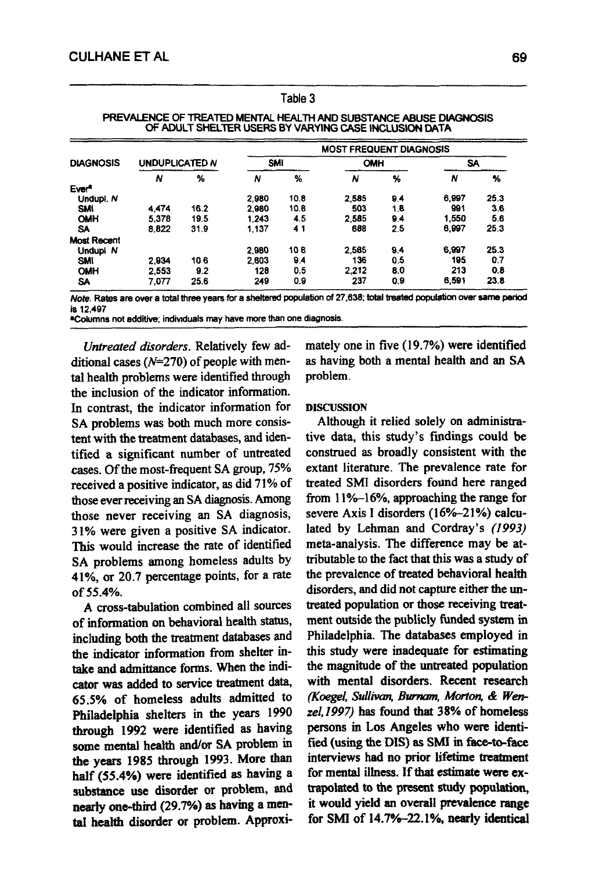| <b>DIAGNOSIS</b>   |                       |      | <b>MOST FREQUENT DIAGNOSIS</b> |      |       |     |       |      |  |  |
|--------------------|-----------------------|------|--------------------------------|------|-------|-----|-------|------|--|--|
|                    | <b>UNDUPLICATED N</b> |      | <b>SMI</b>                     |      | OMH   |     | S٨    |      |  |  |
|                    | Ν                     | ℅    | Ν                              | %    | N     | %   | N     | %    |  |  |
| Ever <sup>2</sup>  |                       |      |                                |      |       |     |       |      |  |  |
| Undupl. N          |                       |      | 2.980                          | 10.8 | 2,585 | 94  | 6.997 | 25.3 |  |  |
| <b>SMI</b>         | 4.474                 | 16.2 | 2.980                          | 10.8 | 503   | 1.8 | 991   | 3.6  |  |  |
| OMH                | 5.378                 | 19.5 | 1.243                          | 45   | 2.585 | 9.4 | 1.550 | 5.6  |  |  |
| SA                 | 8.822                 | 31.9 | 1,137                          | 41   | 688   | 2.5 | 6,997 | 25.3 |  |  |
| <b>Most Recent</b> |                       |      |                                |      |       |     |       |      |  |  |
| Undupi N           |                       |      | 2,980                          | 108  | 2.585 | 9.4 | 6,997 | 25.3 |  |  |
| <b>SMI</b>         | 2.934                 | 106  | 2.603                          | 9.4  | 136   | 0.5 | 195   | 0.7  |  |  |
| <b>OMH</b>         | 2.553                 | 9.2  | 128                            | 0.5  | 2.212 | 8.0 | 213   | 0.8  |  |  |
| SA                 | 7.077                 | 25.6 | 249                            | 0.9  | 237   | 0.9 | 6,591 | 23.8 |  |  |

## **Table 3 PREVALENCE OF TREATED MENTAL HEALTH AND SUBSTANCE ABUSE DIAGNOSIS OF ADULT SHELTER USERS BY VARYING CASE INCLUSION DATA**

**/Vote. Rates are over a total three years for a sheltered population of 27,638; total treated population over same period is 12,497**

**•Columns not additive; individuals may have more than one diagnosis.**

*Untreated disorders.* Relatively few additional cases  $(N=270)$  of people with mental health problems were identified through the inclusion of the indicator information. In contrast, the indicator information for SA problems was both much more consistent with the treatment databases, and identified a significant number of untreated cases. Of the most-frequent SA group, 75% received a positive indicator, as did 71% of those ever receiving an SA diagnosis. Among those never receiving an SA diagnosis, 31% were given a positive SA indicator. This would increase the rate of identified SA problems among homeless adults by 41%, or 20.7 percentage points, for a rate of 55.4%.

A cross-tabulation combined all sources of information on behavioral health status, including both the treatment databases and the indicator information from shelter intake and admittance forms. When the indicator was added to service treatment data, 65.5% of homeless adults admitted to Philadelphia shelters in the years 1990 through 1992 were identified as having some mental health and/or SA problem in the years 1985 through 1993. More than half (55.4%) were identified as having a substance use disorder or problem, and nearly one-third (29.7%) as having a mental health disorder or problem. Approximately one in five (19.7%) were identified as having both a mental health and an SA problem.

#### **DISCUSSION**

Although it relied solely on administrative data, this study's findings could be construed as broadly consistent with the extant literature. The prevalence rate for treated SMI disorders found here ranged from 11%-16%, approaching the range for severe Axis I disorders (16%-21%) calculated by Lehman and Cordray's *(1993)* meta-analysis. The difference may be attributable to the fact that this was a study of the prevalence of treated behavioral health disorders, and did not capture either the untreated population or those receiving treatment outside the publicly funded system in Philadelphia. The databases employed in this study were inadequate for estimating the magnitude of the untreated population with mental disorders. Recent research *(Koegel, Sullivan, Burnam, Morton, & Wenzel,1997)* has found that 38% of homeless persons in Los Angeles who were identified (using the DIS) as SMI in face-to-face interviews had no prior lifetime treatment for mental illness. If that estimate were extrapolated to the present study population, it would yield an overall prevalence range for SMI of 14.7%-22.1%, nearly identical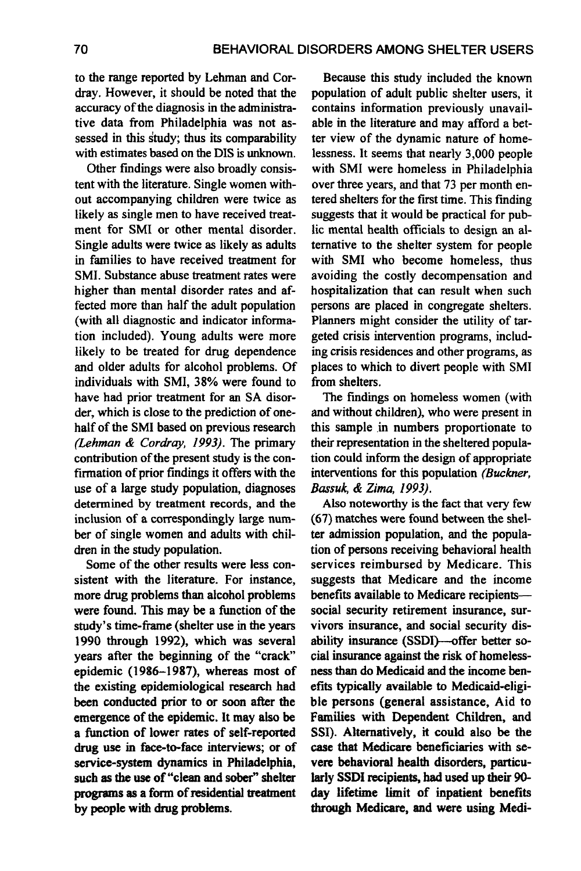to the range reported by Lehman and Cordray. However, it should be noted that the accuracy of the diagnosis in the administrative data from Philadelphia was not assessed in this study; thus its comparability with estimates based on the DIS is unknown.

Other findings were also broadly consistent with the literature. Single women without accompanying children were twice as likely as single men to have received treatment for SMI or other mental disorder. Single adults were twice as likely as adults in families to have received treatment for SMI. Substance abuse treatment rates were higher than mental disorder rates and affected more than half the adult population (with all diagnostic and indicator information included). Young adults were more likely to be treated for drug dependence and older adults for alcohol problems. Of individuals with SMI, 38% were found to have had prior treatment for an SA disorder, which is close to the prediction of onehalf of the SMI based on previous research *(Lehman & Cordray, 1993).* The primary contribution of the present study is the confirmation of prior findings it offers with the use of a large study population, diagnoses determined by treatment records, and the inclusion of a correspondingly large number of single women and adults with children in the study population.

Some of the other results were less consistent with the literature. For instance, more drug problems than alcohol problems were found. This may be a function of the study's time-frame (shelter use in the years 1990 through 1992), which was several years after the beginning of the "crack" epidemic (1986-1987), whereas most of the existing epidemiological research had been conducted prior to or soon after the emergence of the epidemic. It may also be a function of lower rates of self-reported drug use in face-to-face interviews; or of service-system dynamics in Philadelphia, such as the use of "clean and sober" shelter programs as a form of residential treatment by people with drug problems.

Because this study included the known population of adult public shelter users, it contains information previously unavailable in the literature and may afford a better view of the dynamic nature of homelessness. It seems that nearly 3,000 people with SMI were homeless in Philadelphia over three years, and that 73 per month entered shelters for the first time. This finding suggests that it would be practical for public mental health officials to design an alternative to the shelter system for people with SMI who become homeless, thus avoiding the costly decompensation and hospitalization that can result when such persons are placed in congregate shelters. Planners might consider the utility of targeted crisis intervention programs, including crisis residences and other programs, as places to which to divert people with SMI from shelters.

The findings on homeless women (with and without children), who were present in this sample in numbers proportionate to their representation in the sheltered population could inform the design of appropriate interventions for this population *(Buckner, Bassuk, & Zima, 1993).*

Also noteworthy is the fact that very few (67) matches were found between the shelter admission population, and the population of persons receiving behavioral health services reimbursed by Medicare. This suggests that Medicare and the income benefits available to Medicare recipients social security retirement insurance, survivors insurance, and social security disability insurance (SSDI)—offer better social insurance against the risk of homelessness than do Medicaid and the income benefits typically available to Medicaid-eligible persons (general assistance, Aid to Families with Dependent Children, and SSI). Alternatively, it could also be the case that Medicare beneficiaries with severe behavioral health disorders, particularly SSDI recipients, had used up their 90 day lifetime limit of inpatient benefits through Medicare, and were using Medi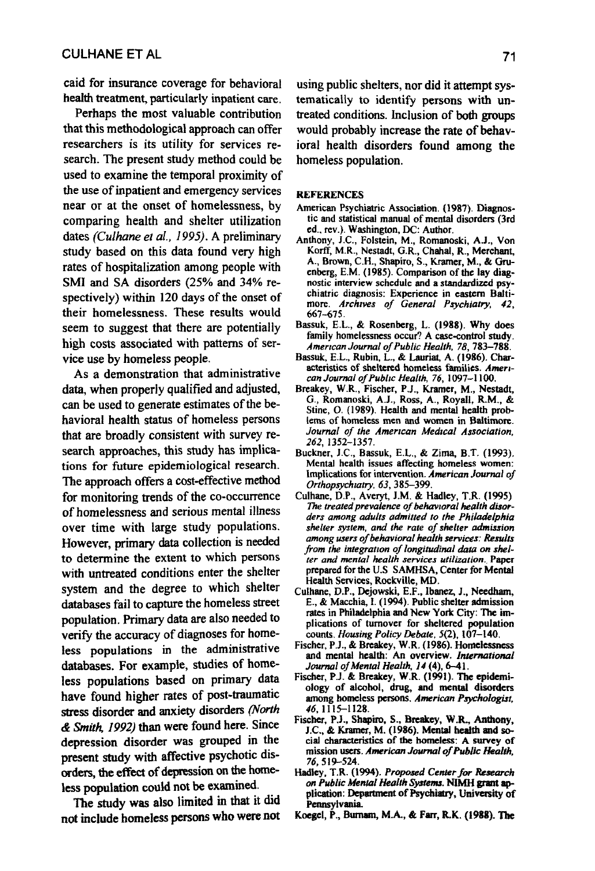caid for insurance coverage for behavioral health treatment, particularly inpatient care.

Perhaps the most valuable contribution that this methodological approach can offer researchers is its utility for services research. The present study method could be used to examine the temporal proximity of the use of inpatient and emergency services near or at the onset of homelessness, by comparing health and shelter utilization dates *(Culhane el al, 1995).* A preliminary study based on this data found very high rates of hospitalization among people with SMI and SA disorders (25% and 34% respectively) within 120 days of the onset of their homelessness. These results would seem to suggest that there are potentially high costs associated with patterns of service use by homeless people.

As a demonstration that administrative data, when properly qualified and adjusted, can be used to generate estimates of the behavioral health status of homeless persons that are broadly consistent with survey research approaches, this study has implications for future epidemiological research. The approach offers a cost-effective method for monitoring trends of the co-occurrence of homelessness and serious mental illness over time with large study populations. However, primary data collection is needed to determine the extent to which persons with untreated conditions enter the shelter system and the degree to which shelter databases fail to capture the homeless street population. Primary data are also needed to verify the accuracy of diagnoses for homeless populations in the administrative databases. For example, studies of homeless populations based on primary data have found higher rates of post-traumatic stress disorder and anxiety disorders *(North & Smith, 1992)* than were found here. Since depression disorder was grouped in the present study with affective psychotic disorders, the effect of depression on the homeless population could not be examined.

The study was also limited in that it did not include homeless persons who were not using public shelters, nor did it attempt systematically to identify persons with untreated conditions. Inclusion of both groups would probably increase the rate of behavioral health disorders found among the homeless population.

#### **REFERENCES**

- **American Psychiatric Association. (1987). Diagnostic and statistical manual of mental disorders (3rd ed., rev.). Washington, DC: Author.**
- **Anthony, J.C., Folstein, M, Romanoski, A.J., Von Korff, M.R., Nestadt, G.R., Chahal, R., Merchant, A., Brown, C.H., Shapiro, S., Kramer, M, & Gruenberg, E.M. (198S). Comparison of the lay diagnostic interview schedule and a standardized psychiatric diagnosis: Experience in eastern Baltimore.** *Archives of General Psychiatry, 42,* **667-675.**
- Bassuk, E.L., & Rosenberg, L. (1988). Why does **family homelessness occur? A case-control study.** *American Journal of Public Health, 78,* 783-788.
- Bassuk, E.L., Rubin, L., & Lauriat, A. (1986). Char**acteristics of sheltered homeless families.** *American Journal of Public Health, 76,* 1097-1100.
- **Breakey, W.R., Fischer, P.J., Kramer, M., Nestadt, C, Romanoski, A.J., Ross, A., Royall. R.M., & Stine, O. (1989). Health and mental health problems of homeless men and women in Baltimore.** *Journal of the American Medical Association, 262,* **1352-1357.**
- **Buckner, J.C., Bassuk, EX., & Zima, B.T. (1993). Mental health issues affecting homeless women: Implications for intervention.** *American Journal of Orthopsychiatry, 63,*385-399.
- **Culhane, DP., Averyt, J.M. & Hadtey, T.R. (1995)** *The treated prevalence of behavioral health disorders among adults admitted to the Philadelphia shelter system, and the rate of shelter admission among users of behavioral health services: Results from the integration of longitudinal data on shelter and mental health services utilization.* Paper **prepared for the U.S SAMHSA, Center for Mental Health Services, Rockville, MD.**
- **Culhane, D.P., Dejowski, E.F., Ibanez, J., Needham, E., & Macchia, 1. (1994). Public shelter admission rates in Philadelphia and New York City: The implications of turnover for sheltered population counts.** *Housing Policy Debate,* **5(2), 107-140.**
- **Fischer, P.J., & Breakey, W.R. (1986). Homelessness and mental health: An overview.** *International Journal of Mental Health, 14* (4), 6-41.
- **Fischer, P.J & Breakey, W.R. (1991). The epidemiology of alcohol, drug, and mental disorders among homeless persons.** *American Psychologist, 46,***1115-1128.**
- **Fischer, P.J., Shapiro, S., Breakey, W.IL, Anthony, J.C, & Kramer, M. (1986). Mental health and social characteristics of the homeless: A survey of** mission users. *American Journal of Public Health, 76,***519-524.**
- Hadley, T.R. (1994). *Proposed Center for Research on Public Mental Health Systems.* **NIMH grant application: Department of Psychiatry, University of Pennsylvania.**
- **Koegel, P., Bumam, M.A., & Fair, R.K. (1988). The**